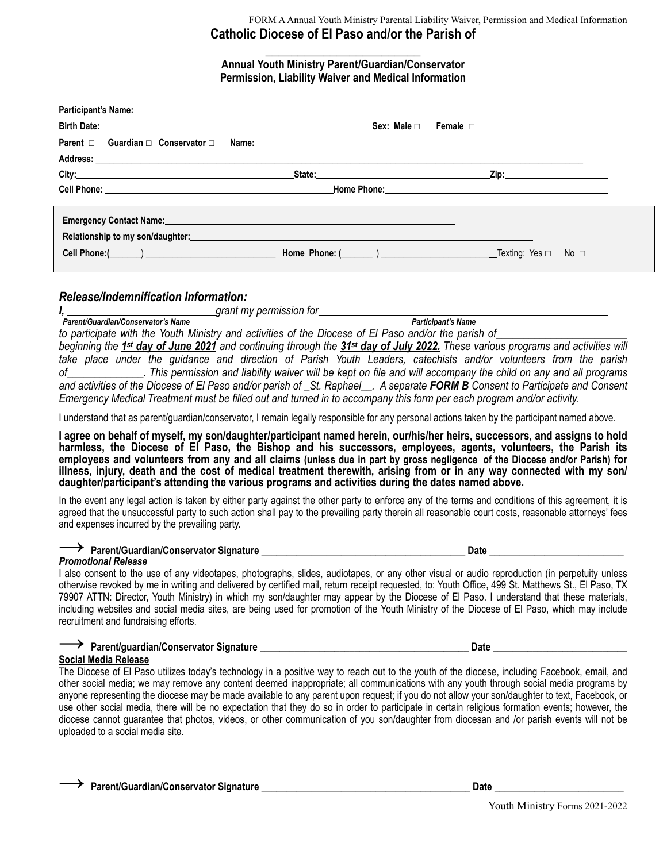### FORM A Annual Youth Ministry Parental Liability Waiver, Permission and Medical Information **Catholic Diocese of El Paso and/or the Parish of**

**\_\_\_\_\_\_\_\_\_\_\_\_\_\_\_\_\_\_\_\_\_\_\_\_ Annual Youth Ministry Parent/Guardian/Conservator Permission, Liability Waiver and Medical Information** 

| Parent $\Box$ Guardian $\Box$ Conservator $\Box$ | Sex: Male □                                                                                                                                                                                                                                                                                                                                                                                                                                                                                                                                                                                                                                                                                                                                                                                                                                                                                               | Female $\Box$                                                                                                                                                                                                                  |
|--------------------------------------------------|-----------------------------------------------------------------------------------------------------------------------------------------------------------------------------------------------------------------------------------------------------------------------------------------------------------------------------------------------------------------------------------------------------------------------------------------------------------------------------------------------------------------------------------------------------------------------------------------------------------------------------------------------------------------------------------------------------------------------------------------------------------------------------------------------------------------------------------------------------------------------------------------------------------|--------------------------------------------------------------------------------------------------------------------------------------------------------------------------------------------------------------------------------|
|                                                  |                                                                                                                                                                                                                                                                                                                                                                                                                                                                                                                                                                                                                                                                                                                                                                                                                                                                                                           | Zip: will be a series of the series of the series of the series of the series of the series of the series of the series of the series of the series of the series of the series of the series of the series of the series of t |
|                                                  | Emergency Contact Name: Name and Second Contact Assembly and Second Contact Assembly and Second Contact Assembly<br>Relationship to my son/daughter:<br>Second the second state of the second state of the second state of the second state of the second state of the second state of the second state of the second state of the second state of t<br><b>Cell Phone:</b> $\begin{bmatrix} \cdot & \cdot & \cdot \\ \cdot & \cdot & \cdot \\ \cdot & \cdot & \cdot \end{bmatrix}$ <b>Home Phone:</b> $\begin{bmatrix} \cdot & \cdot & \cdot \\ \cdot & \cdot & \cdot \\ \cdot & \cdot & \cdot \end{bmatrix}$ $\begin{bmatrix} \cdot & \cdot & \cdot & \cdot \\ \cdot & \cdot & \cdot & \cdot \\ \cdot & \cdot & \cdot & \cdot \end{bmatrix}$ $\begin{bmatrix} \cdot & \cdot & \cdot & \cdot & \cdot \\ \cdot & \cdot & \cdot & \cdot & \cdot \\ \cdot & \cdot & \cdot & \cdot & \cdot \end{bmatrix}$ $\$ |                                                                                                                                                                                                                                |

# *Release/Indemnification Information:*

*I*, *grant my permission for <u>diagonal</u> grant my permission for* 

*Parent/Guardian/Conservator's Name Participant's Name* 

to participate with the Youth Ministry and activities of the Diocese of El Paso and/or the parish of\_ *beginning the 1st day of June 2021 and continuing through the 31st day of July 2022. These various programs and activities will take place under the guidance and direction of Parish Youth Leaders, catechists and/or volunteers from the parish of\_\_\_\_\_\_\_\_\_\_\_\_\_\_. This permission and liability waiver will be kept on file and will accompany the child on any and all programs and activities of the Diocese of El Paso and/or parish of \_St. Raphael\_\_. A separate FORM B Consent to Participate and Consent* 

*Emergency Medical Treatment must be filled out and turned in to accompany this form per each program and/or activity.* 

I understand that as parent/guardian/conservator, I remain legally responsible for any personal actions taken by the participant named above.

**I agree on behalf of myself, my son/daughter/participant named herein, our/his/her heirs, successors, and assigns to hold harmless, the Diocese of El Paso, the Bishop and his successors, employees, agents, volunteers, the Parish its employees and volunteers from any and all claims (unless due in part by gross negligence of the Diocese and/or Parish) for illness, injury, death and the cost of medical treatment therewith, arising from or in any way connected with my son/ daughter/participant's attending the various programs and activities during the dates named above.** 

In the event any legal action is taken by either party against the other party to enforce any of the terms and conditions of this agreement, it is agreed that the unsuccessful party to such action shall pay to the prevailing party therein all reasonable court costs, reasonable attorneys' fees and expenses incurred by the prevailing party.

# → **Parent/Guardian/Conservator Signature \_\_\_\_\_\_\_\_\_\_\_\_\_\_\_\_\_\_\_\_\_\_\_\_\_\_\_\_\_\_\_\_\_\_\_\_\_\_\_\_\_ Date \_\_\_\_\_\_\_\_\_\_\_\_\_\_\_\_\_\_\_\_\_\_\_\_\_\_\_**

*Promotional Release* 

I also consent to the use of any videotapes, photographs, slides, audiotapes, or any other visual or audio reproduction (in perpetuity unless otherwise revoked by me in writing and delivered by certified mail, return receipt requested, to: Youth Office, 499 St. Matthews St., El Paso, TX 79907 ATTN: Director, Youth Ministry) in which my son/daughter may appear by the Diocese of El Paso. I understand that these materials, including websites and social media sites, are being used for promotion of the Youth Ministry of the Diocese of El Paso, which may include recruitment and fundraising efforts.

| → Parent/guardian/Conservator Signature | Date                                                                                                                                          |
|-----------------------------------------|-----------------------------------------------------------------------------------------------------------------------------------------------|
| Social Media Release                    |                                                                                                                                               |
|                                         | The Diocese of El Paso utilizes today's technology in a positive way to reach out to the youth of the diocese, including Facebook, email, and |

other social media; we may remove any content deemed inappropriate; all communications with any youth through social media programs by anyone representing the diocese may be made available to any parent upon request; if you do not allow your son/daughter to text, Facebook, or use other social media, there will be no expectation that they do so in order to participate in certain religious formation events; however, the diocese cannot guarantee that photos, videos, or other communication of you son/daughter from diocesan and /or parish events will not be uploaded to a social media site.